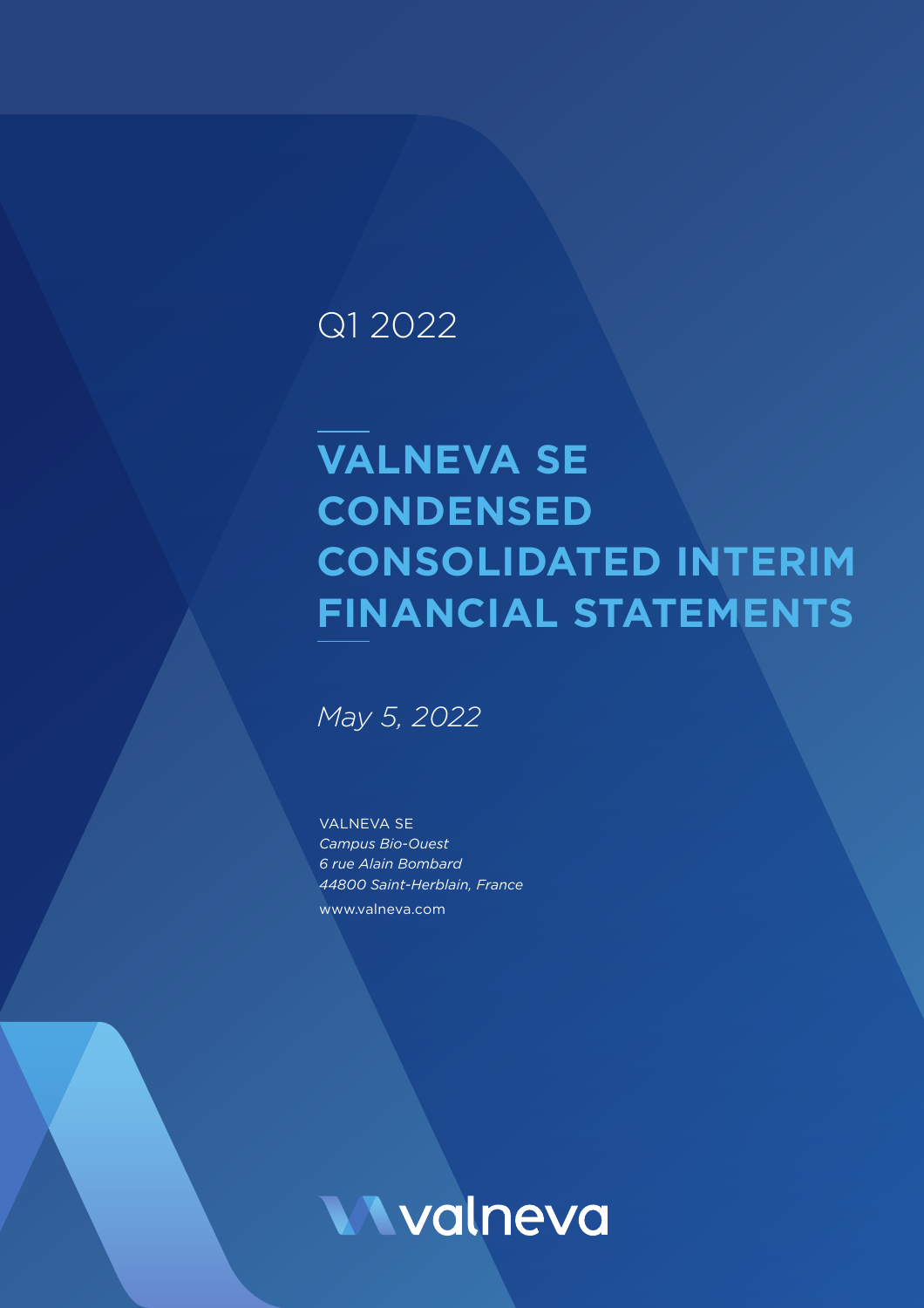## Q1 2022

# **VALNEVA SE CONDENSED CONSOLIDATED INTERIM FINANCIAL STATEMENTS**

*May 5, 2022*

VALNEVA SE *Campus Bio-Ouest 6 rue Alain Bombard 44800 Saint-Herblain, France* www.valneva.com

**Wyalneva**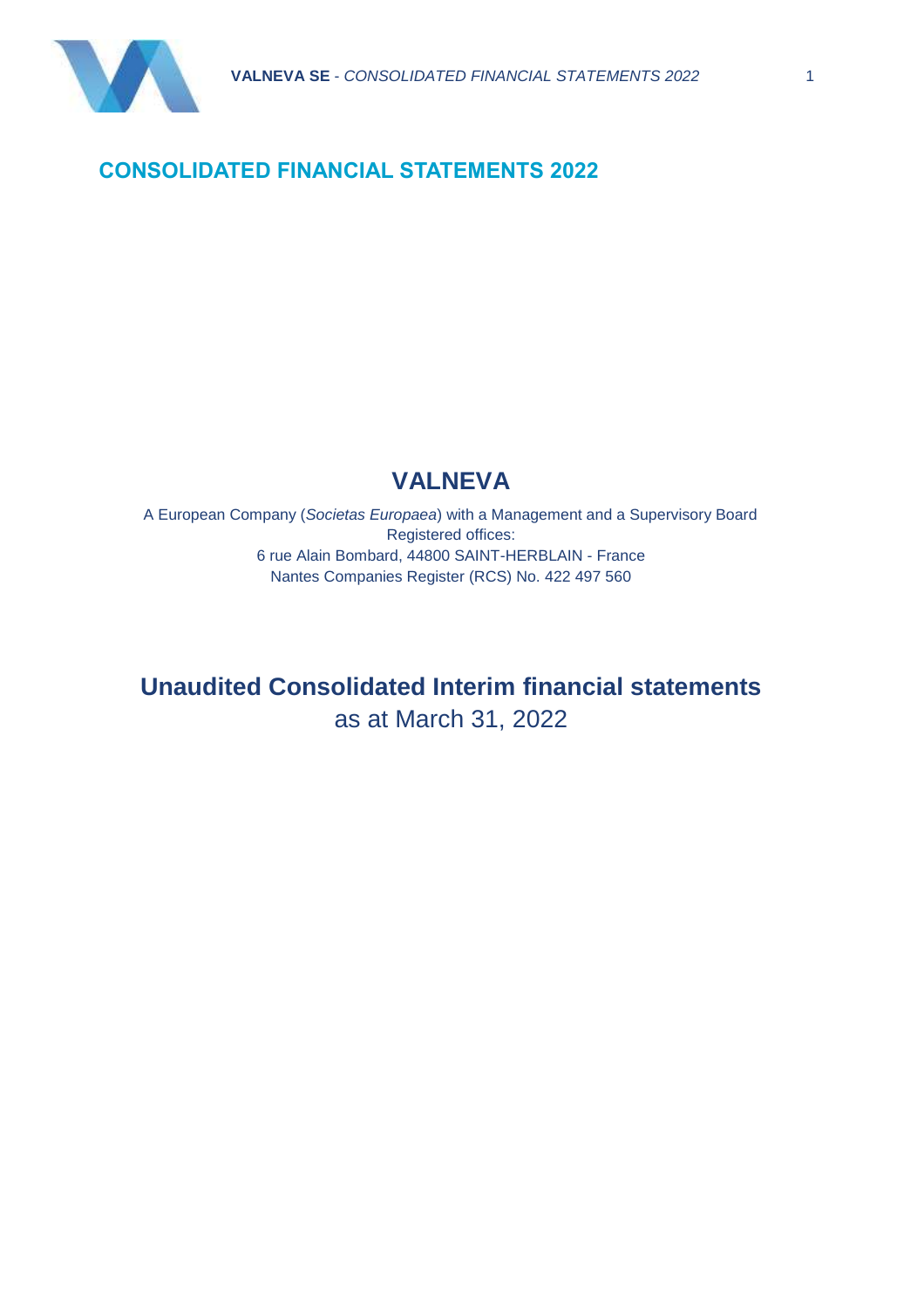

#### **CONSOLIDATED FINANCIAL STATEMENTS 2022**

### **VALNEVA**

A European Company (*Societas Europaea*) with a Management and a Supervisory Board Registered offices: 6 rue Alain Bombard, 44800 SAINT-HERBLAIN - France Nantes Companies Register (RCS) No. 422 497 560

**Unaudited Consolidated Interim financial statements** as at March 31, 2022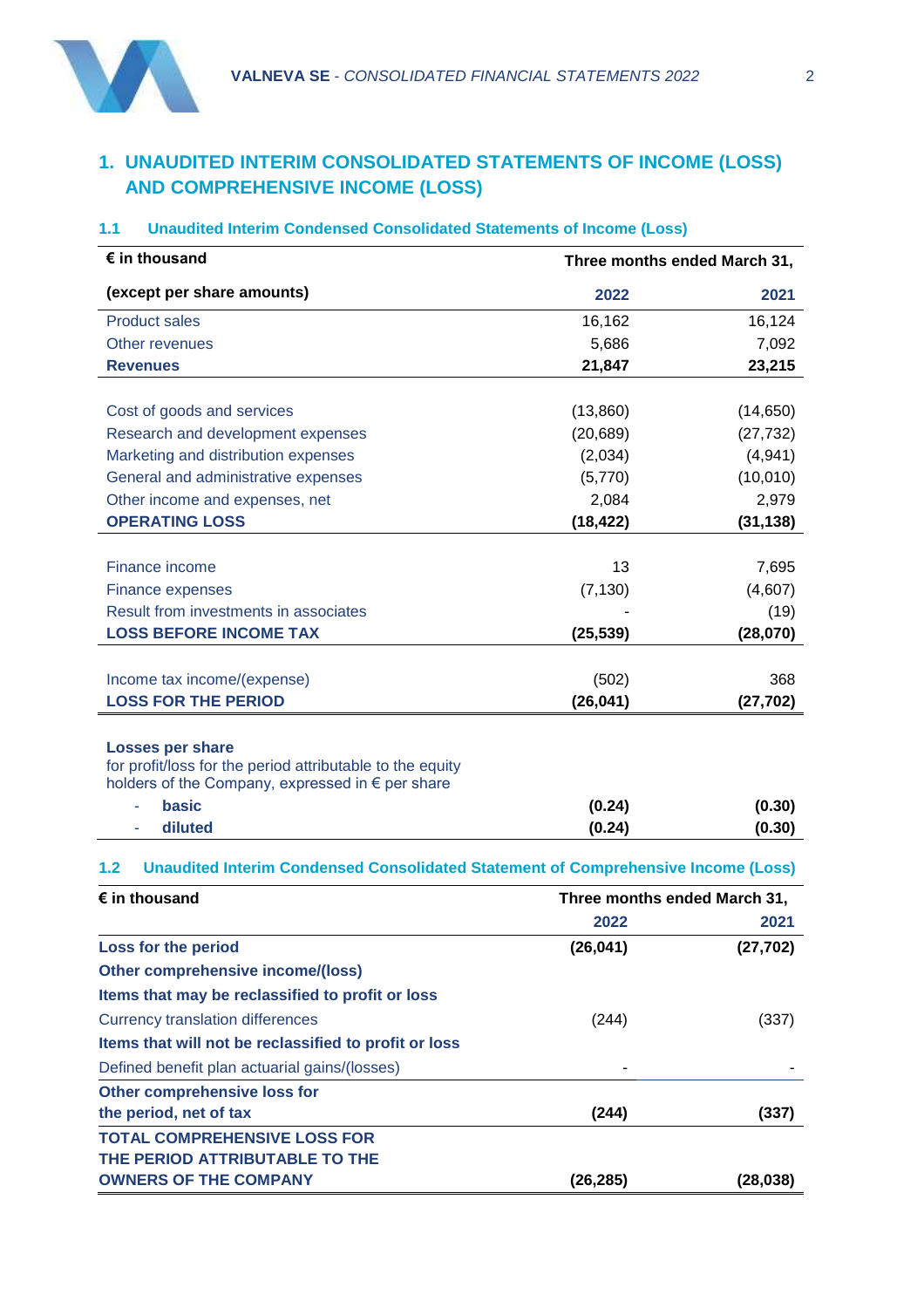

#### **1. UNAUDITED INTERIM CONSOLIDATED STATEMENTS OF INCOME (LOSS) AND COMPREHENSIVE INCOME (LOSS)**

#### **1.1 Unaudited Interim Condensed Consolidated Statements of Income (Loss)**

| $\epsilon$ in thousand                                                                                        | Three months ended March 31, |           |  |
|---------------------------------------------------------------------------------------------------------------|------------------------------|-----------|--|
| (except per share amounts)                                                                                    | 2022                         | 2021      |  |
| <b>Product sales</b>                                                                                          | 16,162                       | 16,124    |  |
| Other revenues                                                                                                | 5,686                        | 7,092     |  |
| <b>Revenues</b>                                                                                               | 21,847                       | 23,215    |  |
|                                                                                                               |                              |           |  |
| Cost of goods and services                                                                                    | (13,860)                     | (14, 650) |  |
| Research and development expenses                                                                             | (20, 689)                    | (27, 732) |  |
| Marketing and distribution expenses                                                                           | (2,034)                      | (4,941)   |  |
| General and administrative expenses                                                                           | (5,770)                      | (10,010)  |  |
| Other income and expenses, net                                                                                | 2,084                        | 2,979     |  |
| <b>OPERATING LOSS</b>                                                                                         | (18, 422)                    | (31, 138) |  |
| Finance income                                                                                                | 13                           | 7,695     |  |
| <b>Finance expenses</b>                                                                                       | (7, 130)                     | (4,607)   |  |
| Result from investments in associates                                                                         |                              | (19)      |  |
| <b>LOSS BEFORE INCOME TAX</b>                                                                                 | (25, 539)                    | (28,070)  |  |
|                                                                                                               |                              |           |  |
| Income tax income/(expense)                                                                                   | (502)                        | 368       |  |
| <b>LOSS FOR THE PERIOD</b>                                                                                    | (26, 041)                    | (27, 702) |  |
|                                                                                                               |                              |           |  |
| <b>Losses per share</b>                                                                                       |                              |           |  |
| for profit/loss for the period attributable to the equity<br>holders of the Company, expressed in € per share |                              |           |  |
| <b>basic</b><br>÷,                                                                                            | (0.24)                       | (0.30)    |  |
| diluted                                                                                                       | (0.24)                       | (0.30)    |  |
|                                                                                                               |                              |           |  |
| <b>Unaudited Interim Condensed Consolidated Statement of Comprehensive Income (Loss)</b><br>1.2               |                              |           |  |
| $\epsilon$ in thousand                                                                                        | Three months ended March 31, |           |  |
|                                                                                                               | 2022                         | 2021      |  |
| Loss for the period                                                                                           | (26, 041)                    | (27, 702) |  |
| <b>Other comprehensive income/(loss)</b>                                                                      |                              |           |  |
| Items that may be reclassified to profit or loss                                                              |                              |           |  |
| <b>Currency translation differences</b>                                                                       | (244)                        | (337)     |  |
| Items that will not be reclassified to profit or loss                                                         |                              |           |  |
| Defined benefit plan actuarial gains/(losses)                                                                 |                              |           |  |
| Other comprehensive loss for                                                                                  |                              |           |  |
| the period, net of tax                                                                                        | (244)                        | (337)     |  |
| TOTAL COMPREHENSIVE LOSS FOR                                                                                  |                              |           |  |

**TOTAL COMPREHENSIVE LOSS FOR THE PERIOD ATTRIBUTABLE TO THE OWNERS OF THE COMPANY (26,285) (28,038)**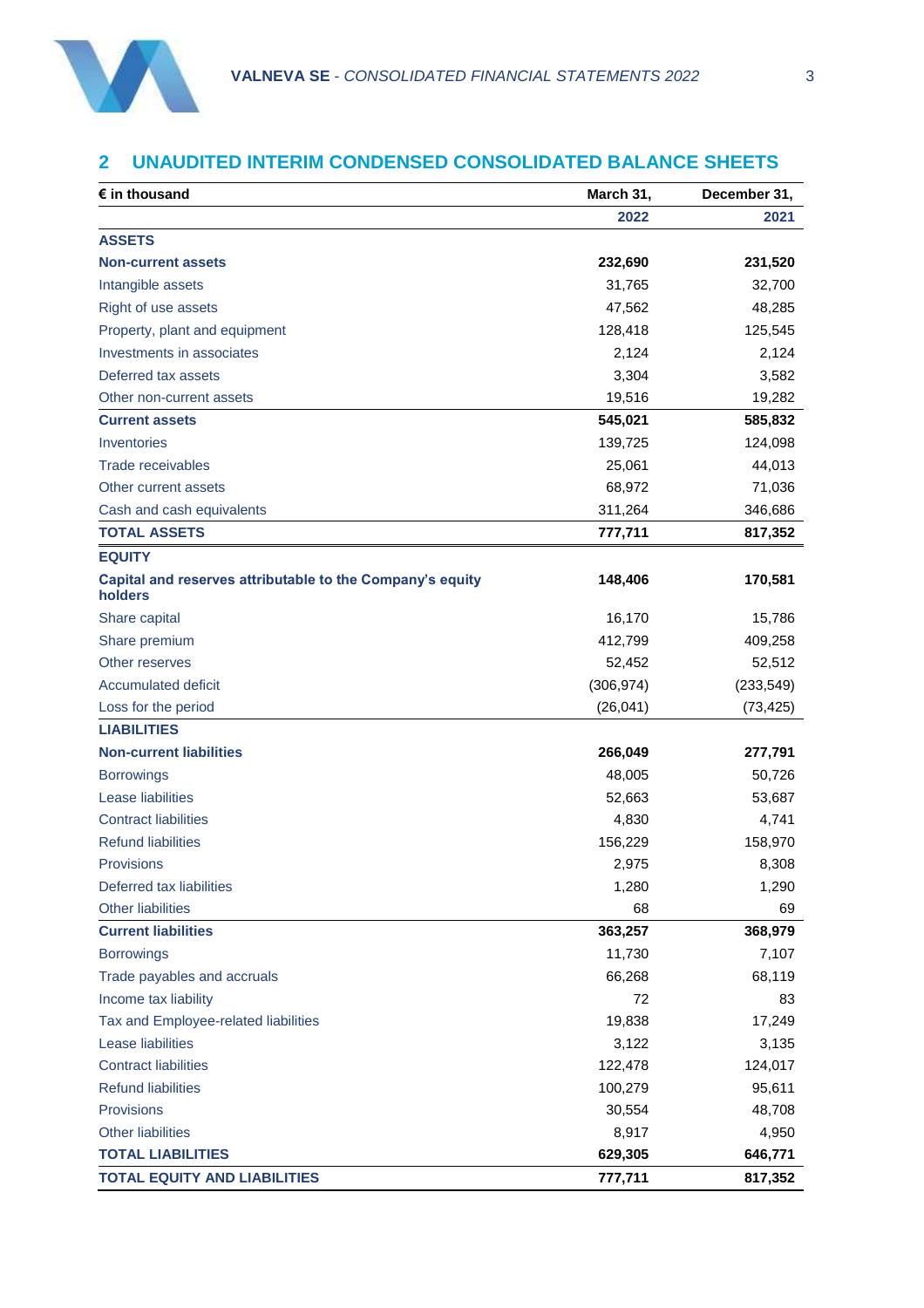

#### **2 UNAUDITED INTERIM CONDENSED CONSOLIDATED BALANCE SHEETS**

| $\epsilon$ in thousand                                               | March 31,  | December 31, |  |  |
|----------------------------------------------------------------------|------------|--------------|--|--|
|                                                                      | 2022       | 2021         |  |  |
| <b>ASSETS</b>                                                        |            |              |  |  |
| <b>Non-current assets</b>                                            | 232,690    | 231,520      |  |  |
| Intangible assets                                                    | 31,765     | 32,700       |  |  |
| Right of use assets                                                  | 47,562     | 48,285       |  |  |
| Property, plant and equipment                                        | 128,418    | 125,545      |  |  |
| Investments in associates                                            | 2,124      | 2,124        |  |  |
| Deferred tax assets                                                  | 3,304      | 3,582        |  |  |
| Other non-current assets                                             | 19,516     | 19,282       |  |  |
| <b>Current assets</b>                                                | 545,021    | 585,832      |  |  |
| Inventories                                                          | 139,725    | 124,098      |  |  |
| Trade receivables                                                    | 25,061     | 44,013       |  |  |
| Other current assets                                                 | 68,972     | 71,036       |  |  |
| Cash and cash equivalents                                            | 311,264    | 346,686      |  |  |
| <b>TOTAL ASSETS</b>                                                  | 777,711    | 817,352      |  |  |
| <b>EQUITY</b>                                                        |            |              |  |  |
| Capital and reserves attributable to the Company's equity<br>holders | 148,406    | 170,581      |  |  |
| Share capital                                                        | 16,170     | 15,786       |  |  |
| Share premium                                                        | 412,799    | 409,258      |  |  |
| Other reserves                                                       | 52,452     | 52,512       |  |  |
| <b>Accumulated deficit</b>                                           | (306, 974) | (233, 549)   |  |  |
| Loss for the period                                                  | (26, 041)  | (73, 425)    |  |  |
| <b>LIABILITIES</b>                                                   |            |              |  |  |
| <b>Non-current liabilities</b>                                       | 266,049    | 277,791      |  |  |
| <b>Borrowings</b>                                                    | 48,005     | 50,726       |  |  |
| Lease liabilities                                                    | 52,663     | 53,687       |  |  |
| <b>Contract liabilities</b>                                          | 4,830      | 4,741        |  |  |
| <b>Refund liabilities</b>                                            | 156,229    | 158,970      |  |  |
| Provisions                                                           | 2,975      | 8,308        |  |  |
| Deferred tax liabilities                                             | 1,280      | 1,290        |  |  |
| <b>Other liabilities</b>                                             | 68         | 69           |  |  |
| <b>Current liabilities</b>                                           | 363,257    | 368,979      |  |  |
| <b>Borrowings</b>                                                    | 11,730     | 7,107        |  |  |
| Trade payables and accruals                                          | 66,268     | 68,119       |  |  |
| Income tax liability                                                 | 72         | 83           |  |  |
| Tax and Employee-related liabilities                                 | 19,838     | 17,249       |  |  |
| Lease liabilities                                                    | 3,122      | 3,135        |  |  |
| <b>Contract liabilities</b>                                          | 122,478    | 124,017      |  |  |
| <b>Refund liabilities</b>                                            | 100,279    | 95,611       |  |  |
| Provisions                                                           | 30,554     | 48,708       |  |  |
| <b>Other liabilities</b>                                             | 8,917      | 4,950        |  |  |
| <b>TOTAL LIABILITIES</b>                                             | 629,305    | 646,771      |  |  |
| <b>TOTAL EQUITY AND LIABILITIES</b>                                  | 777,711    | 817,352      |  |  |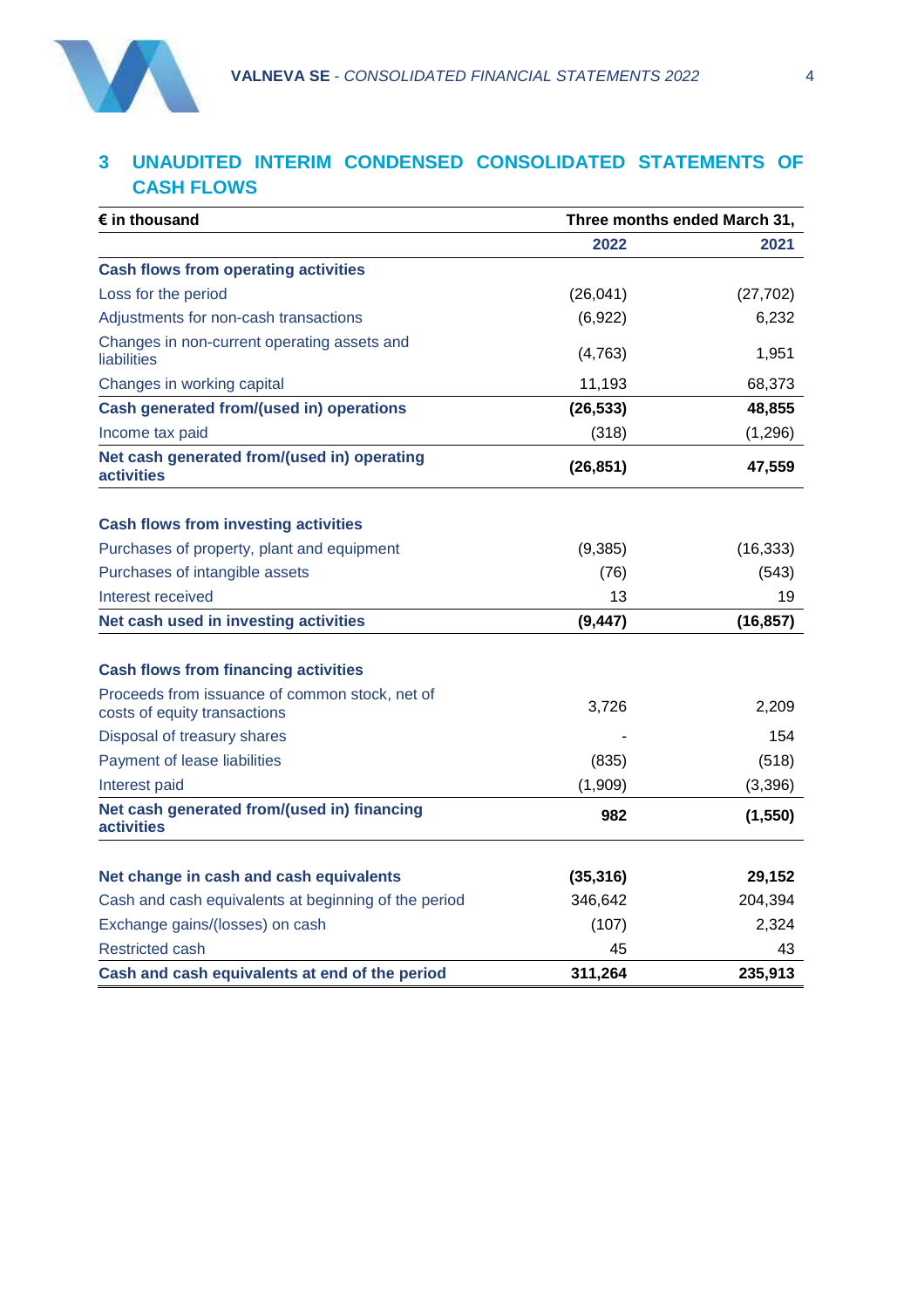

#### **3 UNAUDITED INTERIM CONDENSED CONSOLIDATED STATEMENTS OF CASH FLOWS**

| $\epsilon$ in thousand                                                         | Three months ended March 31, |           |  |  |
|--------------------------------------------------------------------------------|------------------------------|-----------|--|--|
|                                                                                | 2022                         | 2021      |  |  |
| <b>Cash flows from operating activities</b>                                    |                              |           |  |  |
| Loss for the period                                                            | (26, 041)                    | (27, 702) |  |  |
| Adjustments for non-cash transactions                                          | (6,922)                      | 6,232     |  |  |
| Changes in non-current operating assets and<br>liabilities                     | (4, 763)                     | 1,951     |  |  |
| Changes in working capital                                                     | 11,193                       | 68,373    |  |  |
| Cash generated from/(used in) operations                                       | (26, 533)                    | 48,855    |  |  |
| Income tax paid                                                                | (318)                        | (1, 296)  |  |  |
| Net cash generated from/(used in) operating<br><b>activities</b>               | (26, 851)                    | 47,559    |  |  |
| <b>Cash flows from investing activities</b>                                    |                              |           |  |  |
| Purchases of property, plant and equipment                                     | (9, 385)                     | (16, 333) |  |  |
| Purchases of intangible assets                                                 | (76)                         | (543)     |  |  |
| Interest received                                                              | 13                           | 19        |  |  |
| Net cash used in investing activities                                          | (9, 447)                     | (16, 857) |  |  |
|                                                                                |                              |           |  |  |
| <b>Cash flows from financing activities</b>                                    |                              |           |  |  |
| Proceeds from issuance of common stock, net of<br>costs of equity transactions | 3,726                        | 2,209     |  |  |
| Disposal of treasury shares                                                    |                              | 154       |  |  |
| Payment of lease liabilities                                                   | (835)                        | (518)     |  |  |
| Interest paid                                                                  | (1,909)                      | (3,396)   |  |  |
| Net cash generated from/(used in) financing<br><b>activities</b>               | 982                          | (1, 550)  |  |  |
| Net change in cash and cash equivalents                                        | (35, 316)                    | 29,152    |  |  |
| Cash and cash equivalents at beginning of the period                           | 346,642                      | 204,394   |  |  |
| Exchange gains/(losses) on cash                                                | (107)                        | 2,324     |  |  |
| <b>Restricted cash</b>                                                         | 45                           | 43        |  |  |
| Cash and cash equivalents at end of the period                                 | 311,264                      | 235,913   |  |  |